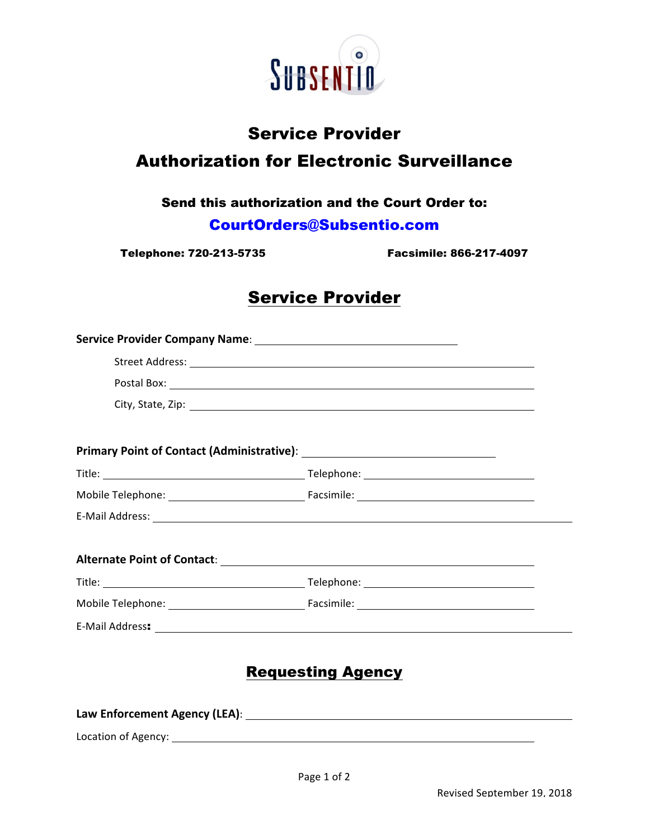

# Service Provider Authorization for Electronic Surveillance

#### Send this authorization and the Court Order to:

#### CourtOrders@Subsentio.com

Telephone: 720-213-5735 Facsimile: 866-217-4097

# Service Provider

## Requesting Agency

| Law Enforcement Agency (LEA): |  |
|-------------------------------|--|
| Location of Agency:           |  |